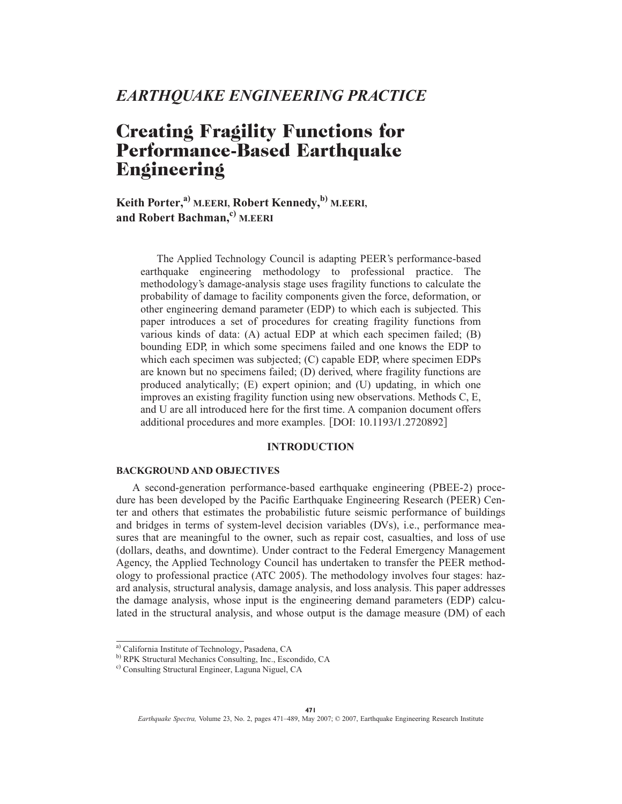# *EARTHQUAKE ENGINEERING PRACTICE*

# **Creating Fragility Functions for Performance-Based Earthquake Engineering**

 $K$ eith Porter,<sup>a)</sup> M.EERI, Robert Kennedy,<sup>b)</sup> M.EERI, **and Robert Bachman,c) M.EERI**

The Applied Technology Council is adapting PEER's performance-based earthquake engineering methodology to professional practice. The methodology's damage-analysis stage uses fragility functions to calculate the probability of damage to facility components given the force, deformation, or other engineering demand parameter (EDP) to which each is subjected. This paper introduces a set of procedures for creating fragility functions from various kinds of data: (A) actual EDP at which each specimen failed; (B) bounding EDP, in which some specimens failed and one knows the EDP to which each specimen was subjected; (C) capable EDP, where specimen EDPs are known but no specimens failed; (D) derived, where fragility functions are produced analytically; (E) expert opinion; and (U) updating, in which one improves an existing fragility function using new observations. Methods C, E, and U are all introduced here for the first time. A companion document offers additional procedures and more examples. [DOI: 10.1193/1.2720892]

# **INTRODUCTION**

#### **BACKGROUND AND OBJECTIVES**

A second-generation performance-based earthquake engineering (PBEE-2) procedure has been developed by the Pacific Earthquake Engineering Research (PEER) Center and others that estimates the probabilistic future seismic performance of buildings and bridges in terms of system-level decision variables (DVs), i.e., performance measures that are meaningful to the owner, such as repair cost, casualties, and loss of use (dollars, deaths, and downtime). Under contract to the Federal Emergency Management Agency, the Applied Technology Council has undertaken to transfer the PEER methodology to professional practice (ATC 2005). The methodology involves four stages: hazard analysis, structural analysis, damage analysis, and loss analysis. This paper addresses the damage analysis, whose input is the engineering demand parameters (EDP) calculated in the structural analysis, and whose output is the damage measure (DM) of each

a) California Institute of Technology, Pasadena, CA

b) RPK Structural Mechanics Consulting, Inc., Escondido, CA

c) Consulting Structural Engineer, Laguna Niguel, CA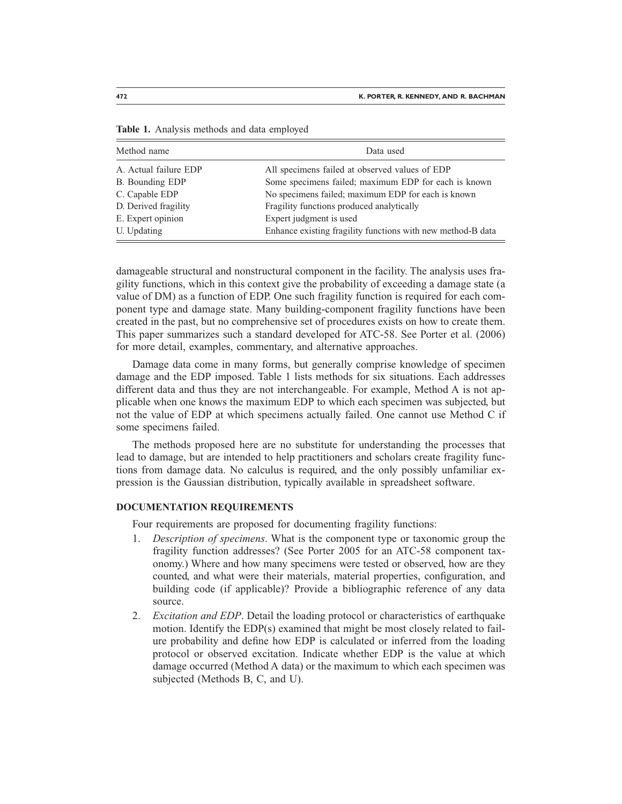| Method name           | Data used                                                   |
|-----------------------|-------------------------------------------------------------|
| A. Actual failure EDP | All specimens failed at observed values of EDP              |
| B. Bounding EDP       | Some specimens failed; maximum EDP for each is known        |
| C. Capable EDP        | No specimens failed; maximum EDP for each is known          |
| D. Derived fragility  | Fragility functions produced analytically                   |
| E. Expert opinion     | Expert judgment is used                                     |
| U. Updating           | Enhance existing fragility functions with new method-B data |

**Table 1.** Analysis methods and data employed

damageable structural and nonstructural component in the facility. The analysis uses fragility functions, which in this context give the probability of exceeding a damage state (a value of DM) as a function of EDP. One such fragility function is required for each component type and damage state. Many building-component fragility functions have been created in the past, but no comprehensive set of procedures exists on how to create them. This paper summarizes such a standard developed for ATC-58. See Porter et al. (2006) for more detail, examples, commentary, and alternative approaches.

Damage data come in many forms, but generally comprise knowledge of specimen damage and the EDP imposed. Table 1 lists methods for six situations. Each addresses different data and thus they are not interchangeable. For example, Method A is not applicable when one knows the maximum EDP to which each specimen was subjected, but not the value of EDP at which specimens actually failed. One cannot use Method C if some specimens failed.

The methods proposed here are no substitute for understanding the processes that lead to damage, but are intended to help practitioners and scholars create fragility functions from damage data. No calculus is required, and the only possibly unfamiliar expression is the Gaussian distribution, typically available in spreadsheet software.

#### **DOCUMENTATION REQUIREMENTS**

Four requirements are proposed for documenting fragility functions:

- 1. *Description of specimens*. What is the component type or taxonomic group the fragility function addresses? (See Porter 2005 for an ATC-58 component taxonomy.) Where and how many specimens were tested or observed, how are they counted, and what were their materials, material properties, configuration, and building code (if applicable)? Provide a bibliographic reference of any data source.
- 2. *Excitation and EDP*. Detail the loading protocol or characteristics of earthquake motion. Identify the EDP(s) examined that might be most closely related to failure probability and define how EDP is calculated or inferred from the loading protocol or observed excitation. Indicate whether EDP is the value at which damage occurred (Method A data) or the maximum to which each specimen was subjected (Methods B, C, and U).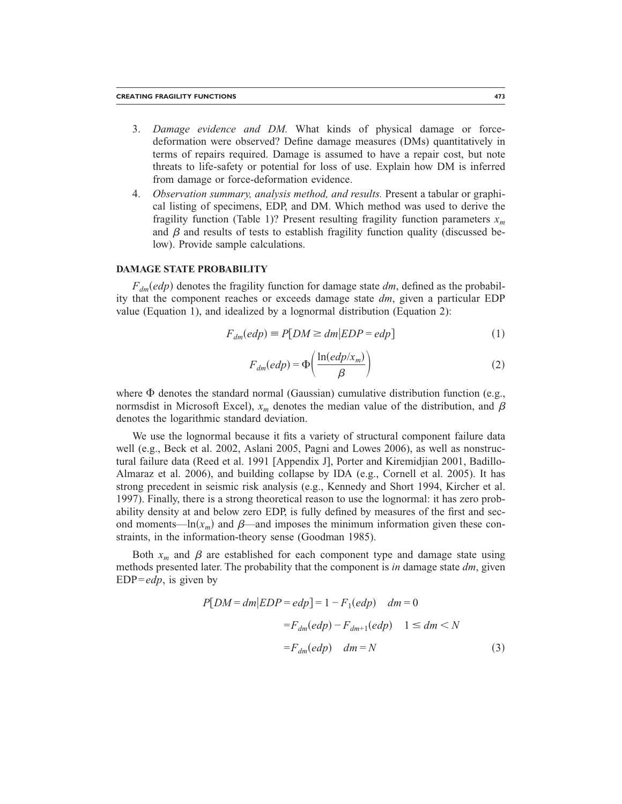- 3. *Damage evidence and DM.* What kinds of physical damage or forcedeformation were observed? Define damage measures (DMs) quantitatively in terms of repairs required. Damage is assumed to have a repair cost, but note threats to life-safety or potential for loss of use. Explain how DM is inferred from damage or force-deformation evidence.
- 4. *Observation summary, analysis method, and results.* Present a tabular or graphical listing of specimens, EDP, and DM. Which method was used to derive the fragility function (Table 1)? Present resulting fragility function parameters  $x_m$ and  $\beta$  and results of tests to establish fragility function quality (discussed below). Provide sample calculations.

## **DAMAGE STATE PROBABILITY**

 $F_{dm}(edp)$  denotes the fragility function for damage state  $dm$ , defined as the probability that the component reaches or exceeds damage state *dm*, given a particular EDP value (Equation 1), and idealized by a lognormal distribution (Equation 2):

$$
F_{dm}(edp) \equiv P[DM \ge dm | EDP = edp]
$$
\n(1)

$$
F_{dm}(edp) = \Phi\left(\frac{\ln(edp/x_m)}{\beta}\right) \tag{2}
$$

where  $\Phi$  denotes the standard normal (Gaussian) cumulative distribution function (e.g., normsdist in Microsoft Excel),  $x_m$  denotes the median value of the distribution, and  $\beta$ denotes the logarithmic standard deviation.

We use the lognormal because it fits a variety of structural component failure data well (e.g., Beck et al. 2002, Aslani 2005, Pagni and Lowes 2006), as well as nonstructural failure data (Reed et al. 1991 [Appendix J], Porter and Kiremidjian 2001, Badillo-Almaraz et al. 2006), and building collapse by IDA (e.g., Cornell et al. 2005). It has strong precedent in seismic risk analysis (e.g., Kennedy and Short 1994, Kircher et al. 1997). Finally, there is a strong theoretical reason to use the lognormal: it has zero probability density at and below zero EDP, is fully defined by measures of the first and second moments—ln( $x_m$ ) and  $\beta$ —and imposes the minimum information given these constraints, in the information-theory sense (Goodman 1985).

Both  $x_m$  and  $\beta$  are established for each component type and damage state using methods presented later. The probability that the component is *in* damage state *dm*, given EDP=*edp*, is given by

$$
P[DM = dm | EDP = edp] = 1 - F_1(edp) \quad dm = 0
$$

$$
= F_{dm}(edp) - F_{dm+1}(edp) \quad 1 \le dm < N
$$

$$
= F_{dm}(edp) \quad dm = N \tag{3}
$$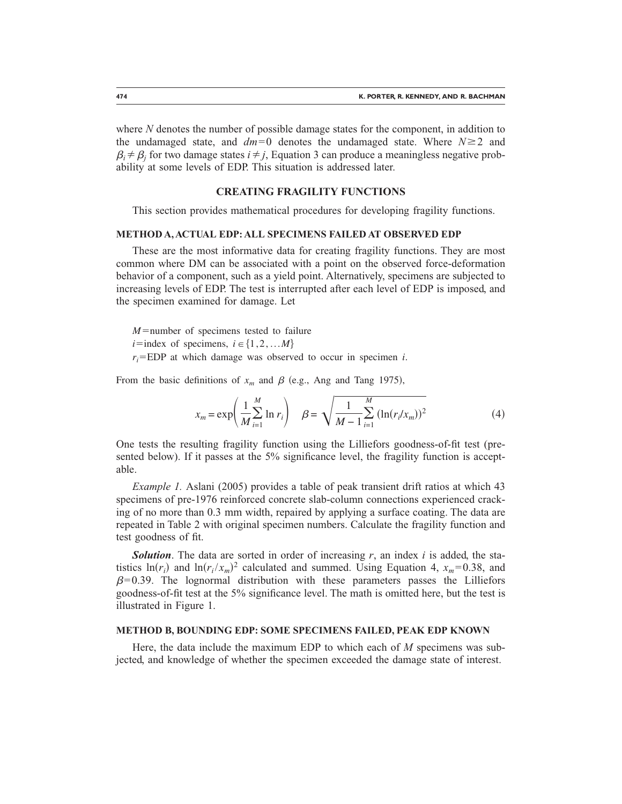where *N* denotes the number of possible damage states for the component, in addition to the undamaged state, and  $dm=0$  denotes the undamaged state. Where  $N \ge 2$  and  $\beta_i \neq \beta_i$  for two damage states  $i \neq j$ , Equation 3 can produce a meaningless negative probability at some levels of EDP. This situation is addressed later.

#### **CREATING FRAGILITY FUNCTIONS**

This section provides mathematical procedures for developing fragility functions.

#### **METHOD A, ACTUAL EDP: ALL SPECIMENS FAILED AT OBSERVED EDP**

These are the most informative data for creating fragility functions. They are most common where DM can be associated with a point on the observed force-deformation behavior of a component, such as a yield point. Alternatively, specimens are subjected to increasing levels of EDP. The test is interrupted after each level of EDP is imposed, and the specimen examined for damage. Let

 $M$ =number of specimens tested to failure *i*=index of specimens,  $i \in \{1, 2, \ldots M\}$ *ri* EDP at which damage was observed to occur in specimen *i*.

From the basic definitions of  $x_m$  and  $\beta$  (e.g., Ang and Tang 1975),

$$
x_m = \exp\left(\frac{1}{M} \sum_{i=1}^{M} \ln r_i\right) \quad \beta = \sqrt{\frac{1}{M - 1} \sum_{i=1}^{M} (\ln(r_i / x_m))^2}
$$
(4)

One tests the resulting fragility function using the Lilliefors goodness-of-fit test (presented below). If it passes at the 5% significance level, the fragility function is acceptable.

*Example 1.* Aslani (2005) provides a table of peak transient drift ratios at which 43 specimens of pre-1976 reinforced concrete slab-column connections experienced cracking of no more than 0.3 mm width, repaired by applying a surface coating. The data are repeated in Table 2 with original specimen numbers. Calculate the fragility function and test goodness of fit.

*Solution*. The data are sorted in order of increasing *r*, an index *i* is added, the statistics  $ln(r_i)$  and  $ln(r_i/x_m)^2$  calculated and summed. Using Equation 4,  $x_m = 0.38$ , and  $\beta$ =0.39. The lognormal distribution with these parameters passes the Lilliefors goodness-of-fit test at the 5% significance level. The math is omitted here, but the test is illustrated in Figure 1.

#### **METHOD B, BOUNDING EDP: SOME SPECIMENS FAILED, PEAK EDP KNOWN**

Here, the data include the maximum EDP to which each of *M* specimens was subjected, and knowledge of whether the specimen exceeded the damage state of interest.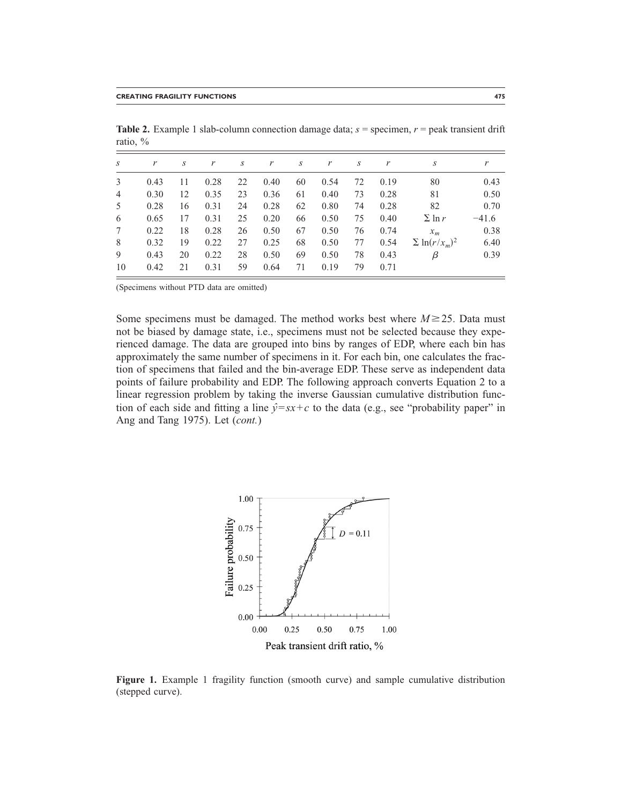| $\boldsymbol{S}$ | r    | S  | r    | S  | r    | S  | r    | S  | r    | S                   | r       |
|------------------|------|----|------|----|------|----|------|----|------|---------------------|---------|
| 3                | 0.43 | 11 | 0.28 | 22 | 0.40 | 60 | 0.54 | 72 | 0.19 | 80                  | 0.43    |
| $\overline{4}$   | 0.30 | 12 | 0.35 | 23 | 0.36 | 61 | 0.40 | 73 | 0.28 | 81                  | 0.50    |
| 5                | 0.28 | 16 | 0.31 | 24 | 0.28 | 62 | 0.80 | 74 | 0.28 | 82                  | 0.70    |
| 6                | 0.65 | 17 | 0.31 | 25 | 0.20 | 66 | 0.50 | 75 | 0.40 | $\sum$ ln r         | $-41.6$ |
| 7                | 0.22 | 18 | 0.28 | 26 | 0.50 | 67 | 0.50 | 76 | 0.74 | $x_m$               | 0.38    |
| 8                | 0.32 | 19 | 0.22 | 27 | 0.25 | 68 | 0.50 | 77 | 0.54 | $\sum \ln(r/x_m)^2$ | 6.40    |
| 9                | 0.43 | 20 | 0.22 | 28 | 0.50 | 69 | 0.50 | 78 | 0.43 | β                   | 0.39    |
| 10               | 0.42 | 21 | 0.31 | 59 | 0.64 | 71 | 0.19 | 79 | 0.71 |                     |         |
|                  |      |    |      |    |      |    |      |    |      |                     |         |

**Table 2.** Example 1 slab-column connection damage data;  $s =$  specimen,  $r =$  peak transient drift ratio, %

(Specimens without PTD data are omitted)

Some specimens must be damaged. The method works best where  $M \geq 25$ . Data must not be biased by damage state, i.e., specimens must not be selected because they experienced damage. The data are grouped into bins by ranges of EDP, where each bin has approximately the same number of specimens in it. For each bin, one calculates the fraction of specimens that failed and the bin-average EDP. These serve as independent data points of failure probability and EDP. The following approach converts Equation 2 to a linear regression problem by taking the inverse Gaussian cumulative distribution function of each side and fitting a line  $\hat{y} = sx + c$  to the data (e.g., see "probability paper" in Ang and Tang 1975). Let (*cont.*)



**Figure 1.** Example 1 fragility function (smooth curve) and sample cumulative distribution (stepped curve).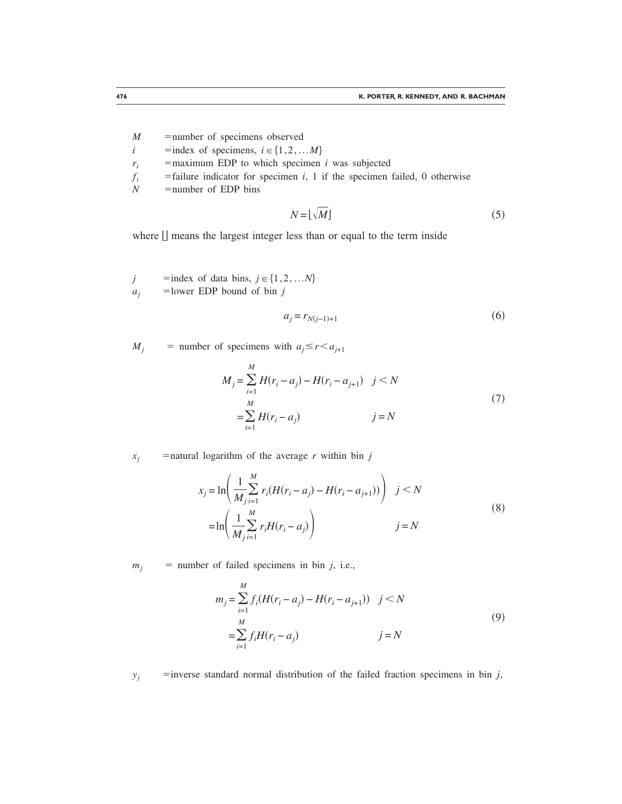- *M* = number of specimens observed
- *i* = index of specimens,  $i \in \{1,2,...M\}$
- $r_i$  = maximum EDP to which specimen *i* was subjected
- $f_i$  = failure indicator for specimen *i*, 1 if the specimen failed, 0 otherwise
- $N$  = number of EDP bins

$$
N = \lfloor \sqrt{M} \rfloor \tag{5}
$$

where  $\Box$  means the largest integer less than or equal to the term inside

*j* = index of data bins,  $j \in \{1,2,...N\}$  $a_j$  = lower EDP bound of bin *j* 

$$
a_j = r_{N(j-1)+1} \tag{6}
$$

 $M_i$  = number of specimens with  $a_i \leq r \leq a_{i+1}$ 

$$
M_{j} = \sum_{i=1}^{M} H(r_{i} - a_{j}) - H(r_{i} - a_{j+1}) \quad j < N
$$
  
= 
$$
\sum_{i=1}^{M} H(r_{i} - a_{j}) \qquad j = N
$$
 (7)

 $x_j$  = natural logarithm of the average *r* within bin *j* 

$$
x_{j} = \ln\left(\frac{1}{M} \sum_{i=1}^{M} r_{i}(H(r_{i} - a_{j}) - H(r_{i} - a_{j+1}))\right) \quad j < N
$$
  
=  $\ln\left(\frac{1}{M} \sum_{j=1}^{M} r_{j}H(r_{i} - a_{j})\right) \qquad j = N$  (8)

 $m_i$  = number of failed specimens in bin *j*, i.e.,

$$
m_j = \sum_{i=1}^{M} f_i (H(r_i - a_j) - H(r_i - a_{j+1})) \quad j < N
$$
  
= 
$$
\sum_{i=1}^{M} f_i H(r_i - a_j) \qquad j = N
$$
 (9)

 $y_j$  = inverse standard normal distribution of the failed fraction specimens in bin *j*,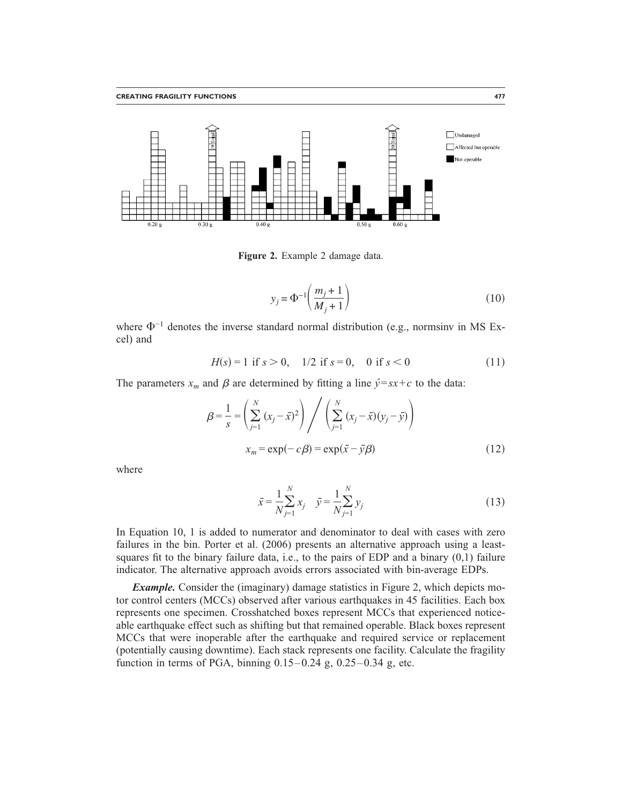

**Figure 2.** Example 2 damage data.

$$
y_j = \Phi^{-1}\left(\frac{m_j + 1}{M_j + 1}\right) \tag{10}
$$

where  $\Phi^{-1}$  denotes the inverse standard normal distribution (e.g., normsinv in MS Excel) and

$$
H(s) = 1 \text{ if } s > 0, \quad 1/2 \text{ if } s = 0, \quad 0 \text{ if } s < 0 \tag{11}
$$

The parameters  $x_m$  and  $\beta$  are determined by fitting a line  $\hat{y} = sx + c$  to the data:

$$
\beta = \frac{1}{s} = \left(\sum_{j=1}^{N} (x_j - \bar{x})^2\right) / \left(\sum_{j=1}^{N} (x_j - \bar{x})(y_j - \bar{y})\right)
$$
  

$$
x_m = \exp(-c\beta) = \exp(\bar{x} - \bar{y}\beta)
$$
 (12)

where

$$
\bar{x} = \frac{1}{N} \sum_{j=1}^{N} x_j \quad \bar{y} = \frac{1}{N} \sum_{j=1}^{N} y_j
$$
\n(13)

In Equation 10, 1 is added to numerator and denominator to deal with cases with zero failures in the bin. Porter et al. (2006) presents an alternative approach using a leastsquares fit to the binary failure data, i.e., to the pairs of EDP and a binary  $(0,1)$  failure indicator. The alternative approach avoids errors associated with bin-average EDPs.

*Example.* Consider the (imaginary) damage statistics in Figure 2, which depicts motor control centers (MCCs) observed after various earthquakes in 45 facilities. Each box represents one specimen. Crosshatched boxes represent MCCs that experienced noticeable earthquake effect such as shifting but that remained operable. Black boxes represent MCCs that were inoperable after the earthquake and required service or replacement (potentially causing downtime). Each stack represents one facility. Calculate the fragility function in terms of PGA, binning 0.15–0.24 g, 0.25–0.34 g, etc.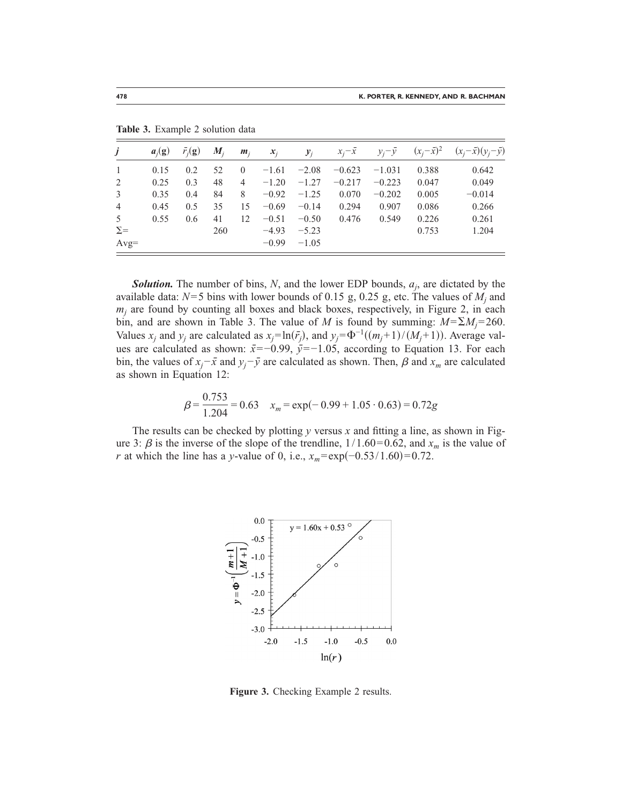| Ĵ              | $a_i(g)$ | $\bar{r}_i(\mathbf{g})$ | $\boldsymbol{M}_i$ | $m_i$          | $x_i$   | $y_i$   | $x_i - x$ | $y_i - y$ | $(x_i - \bar{x})^2$ | $(x_i-\bar{x})(y_i-\bar{y})$ |
|----------------|----------|-------------------------|--------------------|----------------|---------|---------|-----------|-----------|---------------------|------------------------------|
|                | 0.15     | 0.2                     | 52                 | $\theta$       | $-1.61$ | $-2.08$ | $-0.623$  | $-1.031$  | 0.388               | 0.642                        |
| 2              | 0.25     | 0.3                     | 48                 | $\overline{4}$ | $-1.20$ | $-1.27$ | $-0.217$  | $-0.223$  | 0.047               | 0.049                        |
| 3              | 0.35     | 0.4                     | 84                 | 8              | $-0.92$ | $-1.25$ | 0.070     | $-0.202$  | 0.005               | $-0.014$                     |
| $\overline{4}$ | 0.45     | 0.5                     | 35                 | 15             | $-0.69$ | $-0.14$ | 0.294     | 0.907     | 0.086               | 0.266                        |
| 5              | 0.55     | 0.6                     | 41                 | 12             | $-0.51$ | $-0.50$ | 0.476     | 0.549     | 0.226               | 0.261                        |
| $\Sigma =$     |          |                         | 260                |                | $-4.93$ | $-5.23$ |           |           | 0.753               | 1.204                        |
| $Avg=$         |          |                         |                    |                | $-0.99$ | $-1.05$ |           |           |                     |                              |

**Table 3.** Example 2 solution data

**Solution.** The number of bins, N, and the lower EDP bounds,  $a_j$ , are dictated by the available data:  $N=5$  bins with lower bounds of 0.15 g, 0.25 g, etc. The values of  $M_i$  and  $m<sub>i</sub>$  are found by counting all boxes and black boxes, respectively, in Figure 2, in each bin, and are shown in Table 3. The value of *M* is found by summing:  $M = \sum M_i = 260$ . Values *x<sub>i</sub>* and *y<sub>i</sub>* are calculated as  $x_j = \ln(\bar{r}_j)$ , and  $y_j = \Phi^{-1}((m_j + 1)/(M_j + 1))$ . Average values are calculated as shown:  $\bar{x}$ =−0.99,  $\bar{y}$ =−1.05, according to Equation 13. For each bin, the values of  $x_j - \bar{x}$  and  $y_j - \bar{y}$  are calculated as shown. Then,  $\beta$  and  $x_m$  are calculated as shown in Equation 12:

$$
\beta = \frac{0.753}{1.204} = 0.63 \quad x_m = \exp(-0.99 + 1.05 \cdot 0.63) = 0.72g
$$

The results can be checked by plotting  $y$  versus  $x$  and fitting a line, as shown in Figure 3:  $\beta$  is the inverse of the slope of the trendline,  $1/1.60=0.62$ , and  $x_m$  is the value of *r* at which the line has a *y*-value of 0, i.e.,  $x_m = \exp(-0.53/1.60) = 0.72$ .



**Figure 3.** Checking Example 2 results.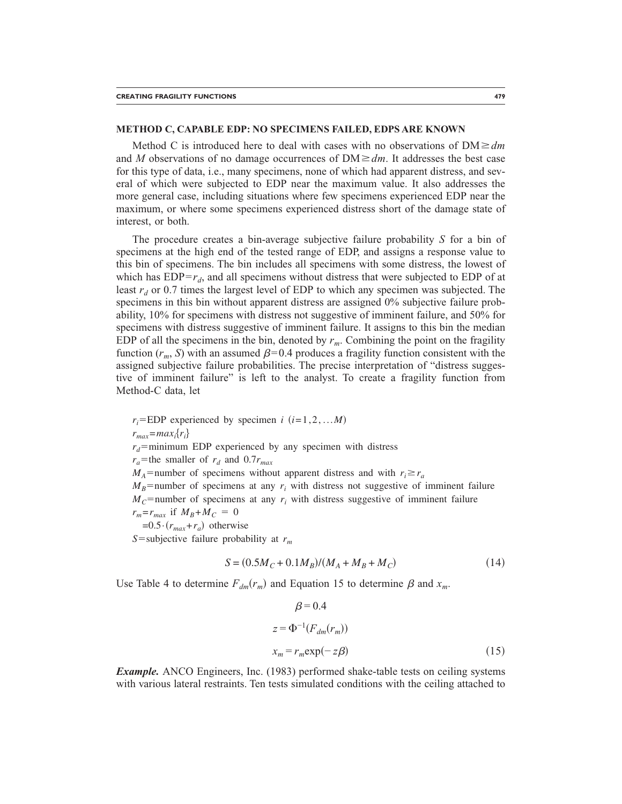#### **METHOD C, CAPABLE EDP: NO SPECIMENS FAILED, EDPS ARE KNOWN**

Method C is introduced here to deal with cases with no observations of  $DM \ge dm$ and *M* observations of no damage occurrences of  $DM \ge dm$ . It addresses the best case for this type of data, i.e., many specimens, none of which had apparent distress, and several of which were subjected to EDP near the maximum value. It also addresses the more general case, including situations where few specimens experienced EDP near the maximum, or where some specimens experienced distress short of the damage state of interest, or both.

The procedure creates a bin-average subjective failure probability *S* for a bin of specimens at the high end of the tested range of EDP, and assigns a response value to this bin of specimens. The bin includes all specimens with some distress, the lowest of which has  $EDP=r_d$ , and all specimens without distress that were subjected to EDP of at least  $r_d$  or 0.7 times the largest level of EDP to which any specimen was subjected. The specimens in this bin without apparent distress are assigned 0% subjective failure probability, 10% for specimens with distress not suggestive of imminent failure, and 50% for specimens with distress suggestive of imminent failure. It assigns to this bin the median EDP of all the specimens in the bin, denoted by  $r_m$ . Combining the point on the fragility function  $(r_m, S)$  with an assumed  $\beta = 0.4$  produces a fragility function consistent with the assigned subjective failure probabilities. The precise interpretation of "distress suggestive of imminent failure" is left to the analyst. To create a fragility function from Method-C data, let

 $r_i$ =EDP experienced by specimen *i* (*i*=1,2,...*M*)  $r_{max} = max_i \{r_i\}$  $r_d$ =minimum EDP experienced by any specimen with distress  $r_a$ =the smaller of  $r_d$  and 0.7 $r_{max}$  $M_A$ =number of specimens without apparent distress and with  $r_i \ge r_a$  $M_B$ =number of specimens at any  $r_i$  with distress not suggestive of imminent failure  $M_C$ =number of specimens at any  $r_i$  with distress suggestive of imminent failure  $r_m = r_{max}$  if  $M_B + M_C = 0$  $=0.5 \cdot (r_{max}+r_a)$  otherwise *S*=subjective failure probability at  $r_m$ 

$$
S = (0.5M_C + 0.1M_B)/(M_A + M_B + M_C)
$$
\n(14)

Use Table 4 to determine  $F_{dm}(r_m)$  and Equation 15 to determine  $\beta$  and  $x_m$ .

$$
\beta = 0.4
$$
  
\n
$$
z = \Phi^{-1}(F_{dm}(r_m))
$$
  
\n
$$
x_m = r_m \exp(-z\beta)
$$
\n(15)

*Example.* ANCO Engineers, Inc. (1983) performed shake-table tests on ceiling systems with various lateral restraints. Ten tests simulated conditions with the ceiling attached to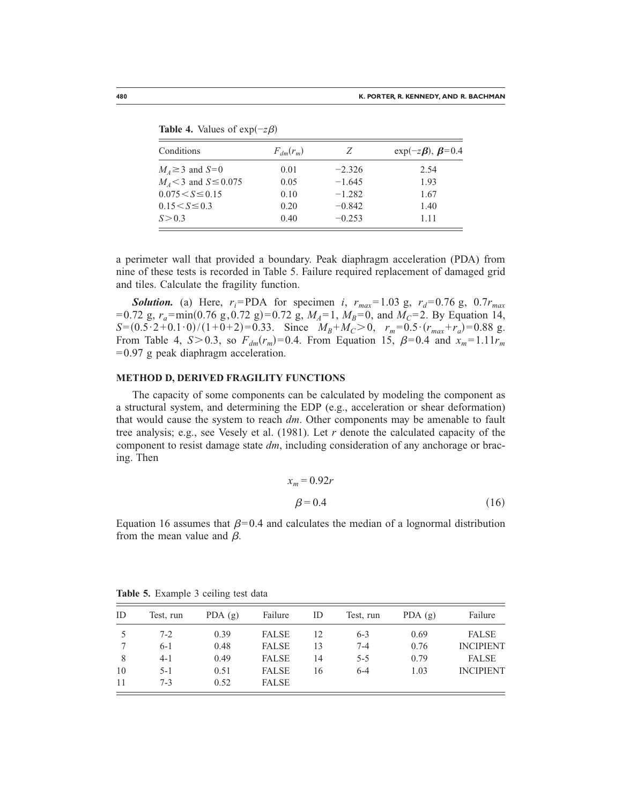| Conditions                   | $F_{dm}(r_m)$ | Ζ        | $\exp(-z\beta), \beta = 0.4$ |
|------------------------------|---------------|----------|------------------------------|
| $M_A \geq 3$ and $S=0$       | 0.01          | $-2.326$ | 2.54                         |
| $M_4$ < 3 and S $\leq$ 0.075 | 0.05          | $-1.645$ | 1.93                         |
| $0.075 < S \le 0.15$         | 0.10          | $-1.282$ | 1.67                         |
| $0.15 < S \leq 0.3$          | 0.20          | $-0.842$ | 1.40                         |
| S > 0.3                      | 0.40          | $-0.253$ | 1.11                         |

**Table 4.** Values of  $exp(-z\beta)$ 

a perimeter wall that provided a boundary. Peak diaphragm acceleration (PDA) from nine of these tests is recorded in Table 5. Failure required replacement of damaged grid and tiles. Calculate the fragility function.

*Solution.* (a) Here,  $r_i$ =PDA for specimen *i*,  $r_{max}$ =1.03 g,  $r_d$ =0.76 g, 0.7 $r_{max}$ =0.72 g,  $r_a$ =min(0.76 g, 0.72 g)=0.72 g,  $M_A=1$ ,  $M_B=0$ , and  $M_C=2$ . By Equation 14,  $S=(0.5\cdot2+0.1\cdot0)/(1+0+2)=0.33$ . Since  $M_B+M_C>0$ ,  $r_m=0.5\cdot(r_{max}+r_a)=0.88$  g. From Table 4,  $S > 0.3$ , so  $F_{dm}(r_m) = 0.4$ . From Equation 15,  $\beta = 0.4$  and  $x_m = 1.11r_m$ =0.97 g peak diaphragm acceleration.

#### **METHOD D, DERIVED FRAGILITY FUNCTIONS**

The capacity of some components can be calculated by modeling the component as a structural system, and determining the EDP (e.g., acceleration or shear deformation) that would cause the system to reach *dm*. Other components may be amenable to fault tree analysis; e.g., see Vesely et al. (1981). Let *r* denote the calculated capacity of the component to resist damage state *dm*, including consideration of any anchorage or bracing. Then

$$
x_m = 0.92r
$$
  

$$
\beta = 0.4
$$
 (16)

Equation 16 assumes that  $\beta$ =0.4 and calculates the median of a lognormal distribution from the mean value and  $\beta$ .

| ID | Test, run | PDA $(g)$ | Failure      | ID | Test, run | PDA $(g)$ | Failure          |
|----|-----------|-----------|--------------|----|-----------|-----------|------------------|
| 5  | $7 - 2$   | 0.39      | <b>FALSE</b> | 12 | $6 - 3$   | 0.69      | <b>FALSE</b>     |
|    | $6-1$     | 0.48      | <b>FALSE</b> | 13 | $7 - 4$   | 0.76      | <b>INCIPIENT</b> |
| 8  | $4 - 1$   | 0.49      | <b>FALSE</b> | 14 | $5 - 5$   | 0.79      | <b>FALSE</b>     |
| 10 | $5 - 1$   | 0.51      | <b>FALSE</b> | 16 | $6 - 4$   | 1.03      | <b>INCIPIENT</b> |
| 11 | $7 - 3$   | 0.52      | <b>FALSE</b> |    |           |           |                  |

**Table 5.** Example 3 ceiling test data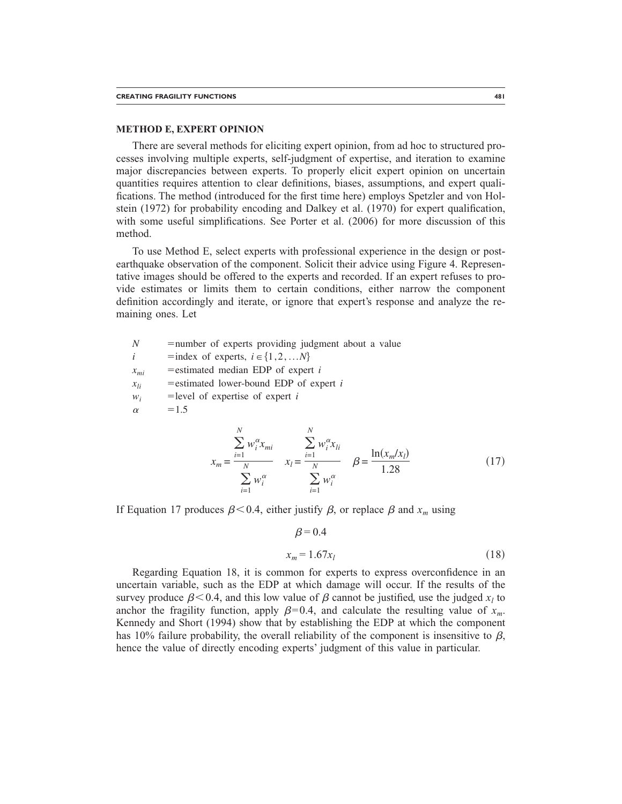#### **METHOD E, EXPERT OPINION**

There are several methods for eliciting expert opinion, from ad hoc to structured processes involving multiple experts, self-judgment of expertise, and iteration to examine major discrepancies between experts. To properly elicit expert opinion on uncertain quantities requires attention to clear definitions, biases, assumptions, and expert qualifications. The method (introduced for the first time here) employs Spetzler and von Holstein (1972) for probability encoding and Dalkey et al. (1970) for expert qualification, with some useful simplifications. See Porter et al. (2006) for more discussion of this method.

To use Method E, select experts with professional experience in the design or postearthquake observation of the component. Solicit their advice using Figure 4. Representative images should be offered to the experts and recorded. If an expert refuses to provide estimates or limits them to certain conditions, either narrow the component definition accordingly and iterate, or ignore that expert's response and analyze the remaining ones. Let

*N* = number of experts providing judgment about a value *i* = index of experts,  $i \in \{1, 2, ...N\}$  $x_{mi}$  = estimated median EDP of expert *i*  $x_{li}$  = estimated lower-bound EDP of expert *i*  $w_i$  = level of expertise of expert *i*  $\alpha$  = 1.5 *N N*

$$
x_{m} = \frac{\sum_{i=1}^{N} w_{i}^{\alpha} x_{mi}}{\sum_{i=1}^{N} w_{i}^{\alpha}} \qquad x_{l} = \frac{\sum_{i=1}^{N} w_{i}^{\alpha} x_{li}}{\sum_{i=1}^{N} w_{i}^{\alpha}} \qquad \beta = \frac{\ln(x_{m}/x_{l})}{1.28} \qquad (17)
$$

If Equation 17 produces  $\beta$  < 0.4, either justify  $\beta$ , or replace  $\beta$  and  $x_m$  using

$$
\beta = 0.4
$$
  

$$
x_m = 1.67x_l \tag{18}
$$

Regarding Equation 18, it is common for experts to express overconfidence in an uncertain variable, such as the EDP at which damage will occur. If the results of the survey produce  $\beta$  < 0.4, and this low value of  $\beta$  cannot be justified, use the judged  $x_l$  to anchor the fragility function, apply  $\beta=0.4$ , and calculate the resulting value of  $x_m$ . Kennedy and Short (1994) show that by establishing the EDP at which the component has 10% failure probability, the overall reliability of the component is insensitive to  $\beta$ , hence the value of directly encoding experts' judgment of this value in particular.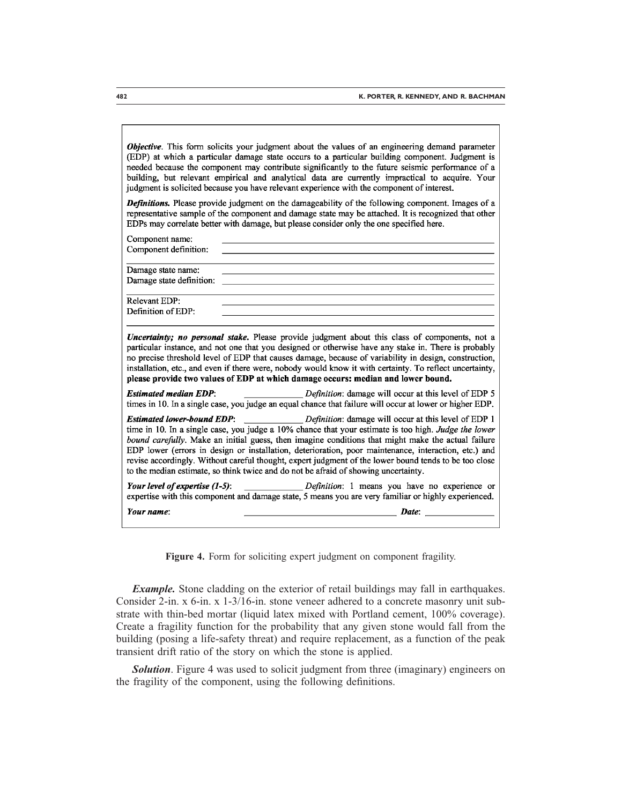Objective. This form solicits your judgment about the values of an engineering demand parameter (EDP) at which a particular damage state occurs to a particular building component. Judgment is needed because the component may contribute significantly to the future seismic performance of a building, but relevant empirical and analytical data are currently impractical to acquire. Your judgment is solicited because you have relevant experience with the component of interest.

Definitions. Please provide judgment on the damageability of the following component. Images of a representative sample of the component and damage state may be attached. It is recognized that other EDPs may correlate better with damage, but please consider only the one specified here.

| Component name:                                |                                                                                                                                                                                                                                                                                                                                                                                                                                                                                                                                                                                                              |
|------------------------------------------------|--------------------------------------------------------------------------------------------------------------------------------------------------------------------------------------------------------------------------------------------------------------------------------------------------------------------------------------------------------------------------------------------------------------------------------------------------------------------------------------------------------------------------------------------------------------------------------------------------------------|
| Component definition:                          |                                                                                                                                                                                                                                                                                                                                                                                                                                                                                                                                                                                                              |
| Damage state name:<br>Damage state definition: |                                                                                                                                                                                                                                                                                                                                                                                                                                                                                                                                                                                                              |
|                                                |                                                                                                                                                                                                                                                                                                                                                                                                                                                                                                                                                                                                              |
| Relevant EDP:<br>Definition of EDP:            |                                                                                                                                                                                                                                                                                                                                                                                                                                                                                                                                                                                                              |
|                                                | Uncertainty; no personal stake. Please provide judgment about this class of components, not a<br>particular instance, and not one that you designed or otherwise have any stake in. There is probably<br>no precise threshold level of EDP that causes damage, because of variability in design, construction,<br>installation, etc., and even if there were, nobody would know it with certainty. To reflect uncertainty,<br>please provide two values of EDP at which damage occurs: median and lower bound.                                                                                               |
| <b>Estimated median EDP:</b>                   | <i>Definition</i> : damage will occur at this level of EDP 5<br>times in 10. In a single case, you judge an equal chance that failure will occur at lower or higher EDP.                                                                                                                                                                                                                                                                                                                                                                                                                                     |
|                                                | <b>Estimated lower-bound EDP:</b> Definition: damage will occur at this level of EDP 1<br>time in 10. In a single case, you judge a 10% chance that your estimate is too high. Judge the lower<br>bound carefully. Make an initial guess, then imagine conditions that might make the actual failure<br>EDP lower (errors in design or installation, deterioration, poor maintenance, interaction, etc.) and<br>revise accordingly. Without careful thought, expert judgment of the lower bound tends to be too close<br>to the median estimate, so think twice and do not be afraid of showing uncertainty. |
| Your level of expertise $(1-5)$ :              | Definition: 1 means you have no experience or<br>expertise with this component and damage state, 5 means you are very familiar or highly experienced.                                                                                                                                                                                                                                                                                                                                                                                                                                                        |
| Your name:                                     | <b>Date:</b> The contract of the contract of the contract of the contract of the contract of the contract of the contract of the contract of the contract of the contract of the contract of the contract of the contract of the co                                                                                                                                                                                                                                                                                                                                                                          |

**Figure 4.** Form for soliciting expert judgment on component fragility.

*Example*. Stone cladding on the exterior of retail buildings may fall in earthquakes. Consider 2-in. x 6-in. x 1-3/16-in. stone veneer adhered to a concrete masonry unit substrate with thin-bed mortar (liquid latex mixed with Portland cement, 100% coverage). Create a fragility function for the probability that any given stone would fall from the building (posing a life-safety threat) and require replacement, as a function of the peak transient drift ratio of the story on which the stone is applied.

**Solution**. Figure 4 was used to solicit judgment from three (imaginary) engineers on the fragility of the component, using the following definitions.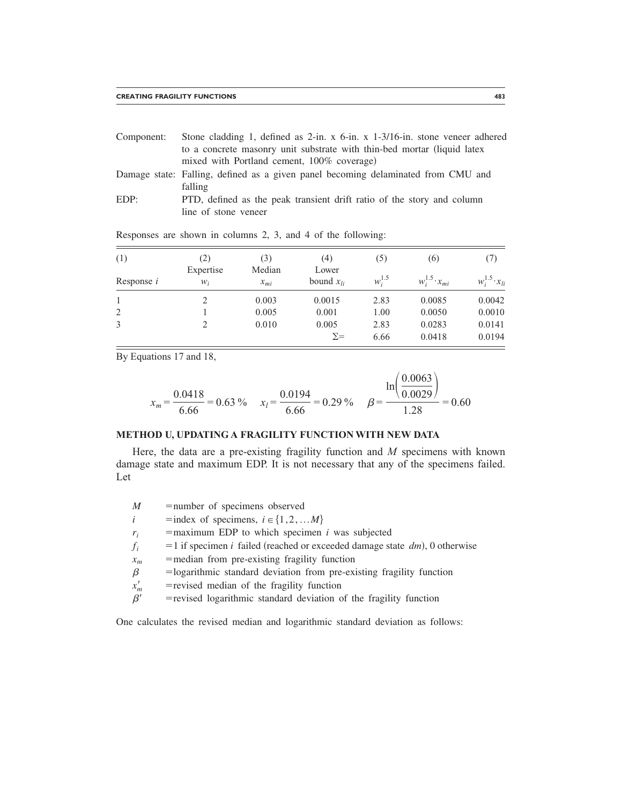| Component: | Stone cladding 1, defined as $2$ -in. x $6$ -in. x $1-3/16$ -in. stone veneer adhered |  |  |  |  |  |  |  |
|------------|---------------------------------------------------------------------------------------|--|--|--|--|--|--|--|
|            | to a concrete masonry unit substrate with thin-bed mortar (liquid latex)              |  |  |  |  |  |  |  |
|            | mixed with Portland cement, 100% coverage)                                            |  |  |  |  |  |  |  |
|            | Damage state: Falling, defined as a given panel becoming delaminated from CMU and     |  |  |  |  |  |  |  |

- falling
- EDP: PTD, defined as the peak transient drift ratio of the story and column line of stone veneer

| (1)               | (2)<br>Expertise | (3)<br>Median | (4)<br>Lower        | (5)          | (6)                      | (7)                      |
|-------------------|------------------|---------------|---------------------|--------------|--------------------------|--------------------------|
| Response <i>i</i> | $W_i$            | $x_{mi}$      | bound $x_{li}$      | $w_i^{1.5}$  | $w_i^{1.5} \cdot x_{mi}$ | $w_i^{1.5} \cdot x_{li}$ |
|                   | っ                | 0.003         | 0.0015              | 2.83         | 0.0085                   | 0.0042                   |
| 2                 |                  | 0.005         | 0.001               | 1.00         | 0.0050                   | 0.0010                   |
| 3                 |                  | 0.010         | 0.005<br>$\Sigma =$ | 2.83<br>6.66 | 0.0283<br>0.0418         | 0.0141<br>0.0194         |

Responses are shown in columns 2, 3, and 4 of the following:

By Equations 17 and 18,

 $=$ 

$$
x_m = \frac{0.0418}{6.66} = 0.63\% \qquad x_l = \frac{0.0194}{6.66} = 0.29\% \qquad \beta = \frac{\ln\left(\frac{0.0063}{0.0029}\right)}{1.28} = 0.60
$$

### **METHOD U, UPDATING A FRAGILITY FUNCTION WITH NEW DATA**

Here, the data are a pre-existing fragility function and *M* specimens with known damage state and maximum EDP. It is not necessary that any of the specimens failed. Let

| M        | =number of specimens observed                                                        |
|----------|--------------------------------------------------------------------------------------|
| Î        | =index of specimens, $i \in \{1, 2,  M\}$                                            |
| $r_i$    | $=$ maximum EDP to which specimen <i>i</i> was subjected                             |
| $f_i$    | $=$ 1 if specimen <i>i</i> failed (reached or exceeded damage state dm), 0 otherwise |
| $x_m$    | =median from pre-existing fragility function                                         |
| β        | =logarithmic standard deviation from pre-existing fragility function                 |
| $x'_m$   | = revised median of the fragility function                                           |
| $\beta'$ | = revised logarithmic standard deviation of the fragility function                   |
|          |                                                                                      |

One calculates the revised median and logarithmic standard deviation as follows: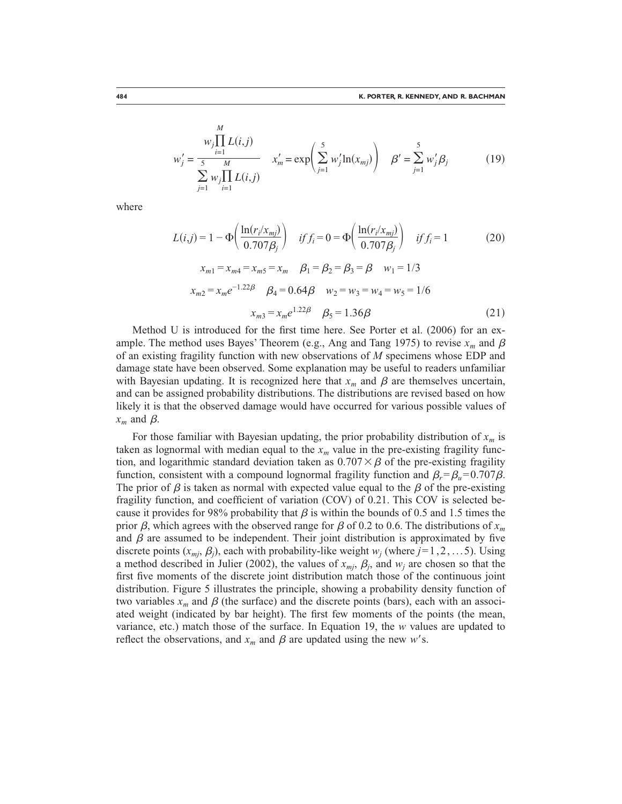$$
w'_{j} = \frac{w_{j} \prod_{i=1}^{n} L(i,j)}{\sum_{j=1}^{5} w_{j} \prod_{i=1}^{M} L(i,j)} \qquad x'_{m} = \exp\left(\sum_{j=1}^{5} w'_{j} \ln(x_{mj})\right) \quad \beta' = \sum_{j=1}^{5} w'_{j} \beta_{j}
$$
(19)

where

$$
L(i,j) = 1 - \Phi\left(\frac{\ln(r_i/x_{mj})}{0.707\beta_j}\right) \quad if \ f_i = 0 = \Phi\left(\frac{\ln(r_i/x_{mj})}{0.707\beta_j}\right) \quad if \ f_i = 1 \tag{20}
$$

$$
x_{m1} = x_{m4} = x_{m5} = x_m \quad \beta_1 = \beta_2 = \beta_3 = \beta \quad w_1 = 1/3
$$
  

$$
x_{m2} = x_m e^{-1.22\beta} \quad \beta_4 = 0.64\beta \quad w_2 = w_3 = w_4 = w_5 = 1/6
$$
  

$$
x_{m3} = x_m e^{1.22\beta} \quad \beta_5 = 1.36\beta
$$
 (21)

Method U is introduced for the first time here. See Porter et al. (2006) for an example. The method uses Bayes' Theorem (e.g., Ang and Tang 1975) to revise  $x_m$  and  $\beta$ of an existing fragility function with new observations of *M* specimens whose EDP and damage state have been observed. Some explanation may be useful to readers unfamiliar with Bayesian updating. It is recognized here that  $x_m$  and  $\beta$  are themselves uncertain, and can be assigned probability distributions. The distributions are revised based on how likely it is that the observed damage would have occurred for various possible values of  $x_m$  and  $\beta$ .

For those familiar with Bayesian updating, the prior probability distribution of  $x_m$  is taken as lognormal with median equal to the  $x_m$  value in the pre-existing fragility function, and logarithmic standard deviation taken as  $0.707 \times \beta$  of the pre-existing fragility function, consistent with a compound lognormal fragility function and  $\beta_r = \beta_u = 0.707 \beta$ . The prior of  $\beta$  is taken as normal with expected value equal to the  $\beta$  of the pre-existing fragility function, and coefficient of variation (COV) of 0.21. This COV is selected because it provides for 98% probability that  $\beta$  is within the bounds of 0.5 and 1.5 times the prior  $\beta$ , which agrees with the observed range for  $\beta$  of 0.2 to 0.6. The distributions of  $x_m$ and  $\beta$  are assumed to be independent. Their joint distribution is approximated by five discrete points  $(x_{mj}, \beta_j)$ , each with probability-like weight  $w_j$  (where  $j = 1, 2, \ldots, 5$ ). Using a method described in Julier (2002), the values of  $x_{mi}$ ,  $\beta_i$ , and  $w_i$  are chosen so that the first five moments of the discrete joint distribution match those of the continuous joint distribution. Figure 5 illustrates the principle, showing a probability density function of two variables  $x_m$  and  $\beta$  (the surface) and the discrete points (bars), each with an associated weight (indicated by bar height). The first few moments of the points (the mean, variance, etc.) match those of the surface. In Equation 19, the *w* values are updated to reflect the observations, and  $x_m$  and  $\beta$  are updated using the new w's.

*M*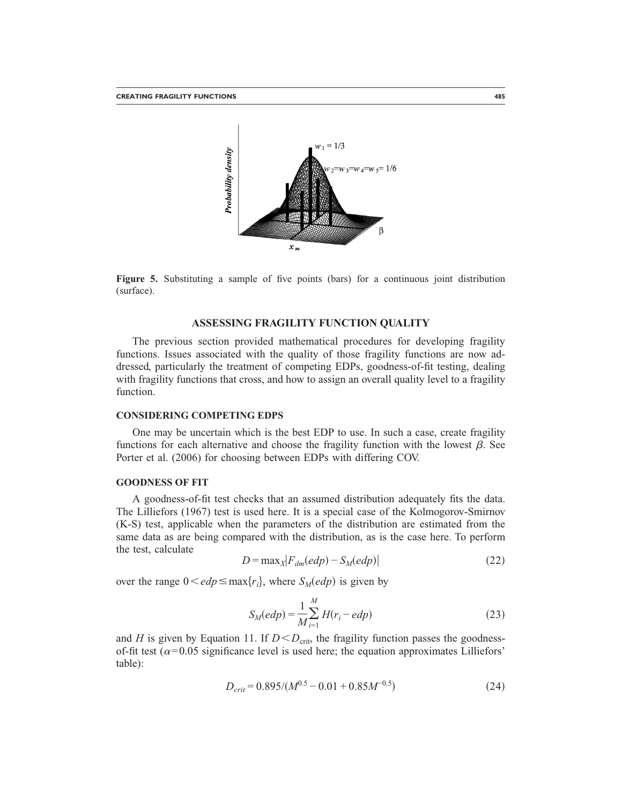

**Figure 5.** Substituting a sample of five points (bars) for a continuous joint distribution (surface).

#### **ASSESSING FRAGILITY FUNCTION QUALITY**

The previous section provided mathematical procedures for developing fragility functions. Issues associated with the quality of those fragility functions are now addressed, particularly the treatment of competing EDPs, goodness-of-fit testing, dealing with fragility functions that cross, and how to assign an overall quality level to a fragility function.

#### **CONSIDERING COMPETING EDPS**

One may be uncertain which is the best EDP to use. In such a case, create fragility functions for each alternative and choose the fragility function with the lowest  $\beta$ . See Porter et al. (2006) for choosing between EDPs with differing COV.

#### **GOODNESS OF FIT**

A goodness-of-fit test checks that an assumed distribution adequately fits the data. The Lilliefors (1967) test is used here. It is a special case of the Kolmogorov-Smirnov (K-S) test, applicable when the parameters of the distribution are estimated from the same data as are being compared with the distribution, as is the case here. To perform the test, calculate

$$
D = \max_{X} |F_{dm}(edp) - S_{M}(edp)| \tag{22}
$$

over the range  $0 \leq edp \leq max\{r_i\}$ , where  $S_M(edp)$  is given by

$$
S_M(edp) = \frac{1}{M} \sum_{i=1}^{M} H(r_i - edp)
$$
 (23)

and *H* is given by Equation 11. If  $D < D<sub>crit</sub>$ , the fragility function passes the goodnessof-fit test ( $\alpha$ =0.05 significance level is used here; the equation approximates Lilliefors' table):

$$
D_{crit} = 0.895/(M^{0.5} - 0.01 + 0.85M^{-0.5})
$$
\n(24)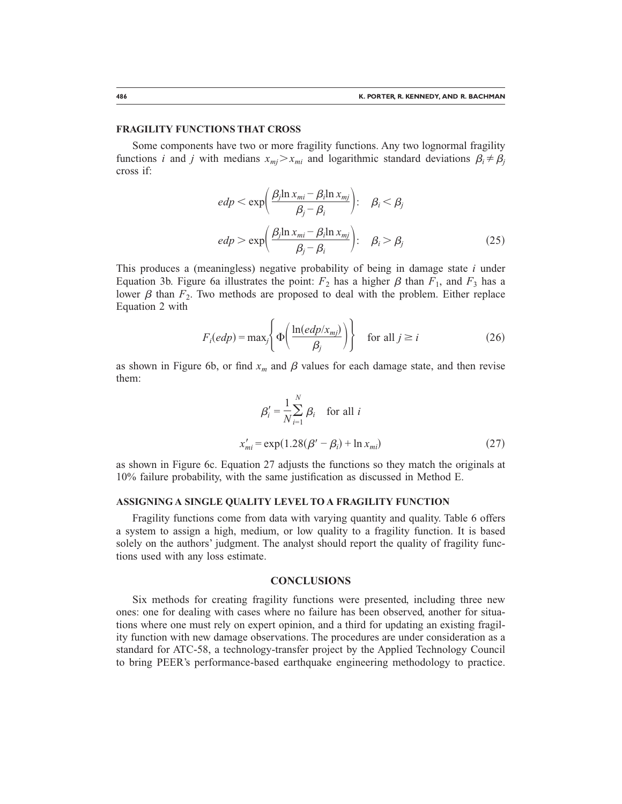#### **FRAGILITY FUNCTIONS THAT CROSS**

Some components have two or more fragility functions. Any two lognormal fragility functions *i* and *j* with medians  $x_{mj} > x_{mi}$  and logarithmic standard deviations  $\beta_i \neq \beta_j$ cross if:

$$
edp < \exp\left(\frac{\beta_j \ln x_{mi} - \beta_i \ln x_{mj}}{\beta_j - \beta_i}\right); \quad \beta_i < \beta_j
$$
  

$$
edp > \exp\left(\frac{\beta_j \ln x_{mi} - \beta_i \ln x_{mj}}{\beta_j - \beta_i}\right); \quad \beta_i > \beta_j
$$
 (25)

This produces a (meaningless) negative probability of being in damage state *i* under Equation 3b. Figure 6a illustrates the point:  $F_2$  has a higher  $\beta$  than  $F_1$ , and  $F_3$  has a lower  $\beta$  than  $F_2$ . Two methods are proposed to deal with the problem. Either replace Equation 2 with

$$
F_i(edp) = \max_j \left\{ \Phi\left(\frac{\ln(edp/x_{mj})}{\beta_j}\right) \right\} \quad \text{for all } j \ge i \tag{26}
$$

as shown in Figure 6b, or find  $x_m$  and  $\beta$  values for each damage state, and then revise them:

$$
\beta_i' = \frac{1}{N} \sum_{i=1}^{N} \beta_i \quad \text{for all } i
$$

$$
x'_{mi} = \exp(1.28(\beta' - \beta_i) + \ln x_{mi})
$$
(27)

as shown in Figure 6c. Equation 27 adjusts the functions so they match the originals at 10% failure probability, with the same justification as discussed in Method E.

#### **ASSIGNING A SINGLE QUALITY LEVEL TO A FRAGILITY FUNCTION**

Fragility functions come from data with varying quantity and quality. Table 6 offers a system to assign a high, medium, or low quality to a fragility function. It is based solely on the authors' judgment. The analyst should report the quality of fragility functions used with any loss estimate.

#### **CONCLUSIONS**

Six methods for creating fragility functions were presented, including three new ones: one for dealing with cases where no failure has been observed, another for situations where one must rely on expert opinion, and a third for updating an existing fragility function with new damage observations. The procedures are under consideration as a standard for ATC-58, a technology-transfer project by the Applied Technology Council to bring PEER's performance-based earthquake engineering methodology to practice.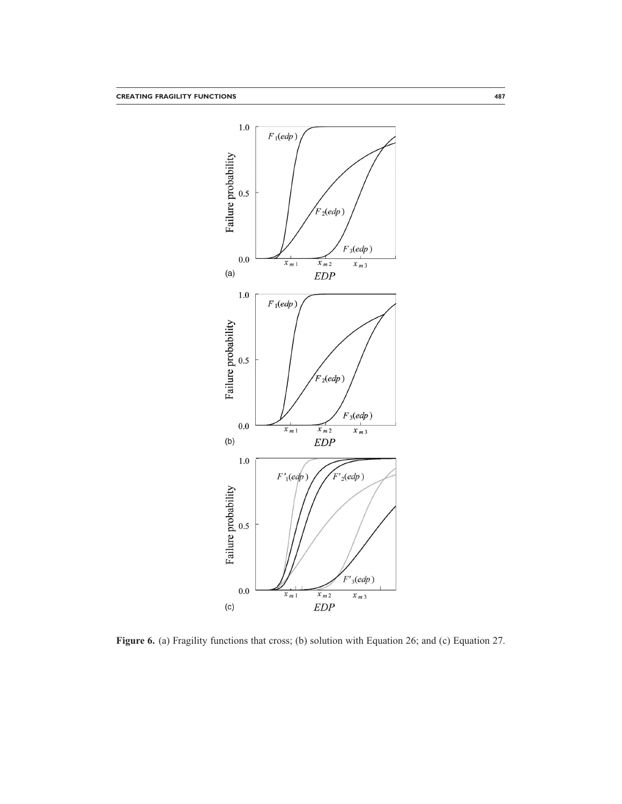

**Figure 6.** (a) Fragility functions that cross; (b) solution with Equation 26; and (c) Equation 27.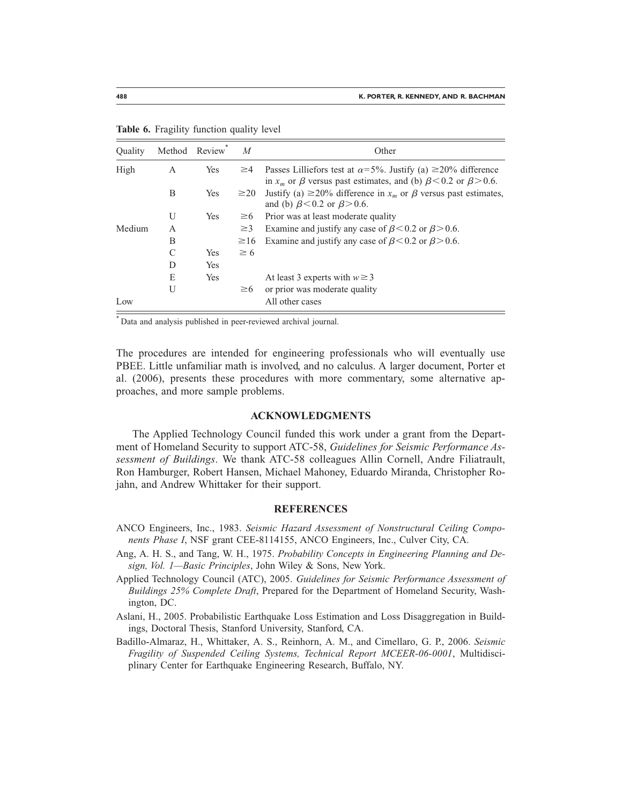| Ouality | Method | Review <sup>7</sup> | $\overline{M}$ | Other                                                                                                                                                     |
|---------|--------|---------------------|----------------|-----------------------------------------------------------------------------------------------------------------------------------------------------------|
| High    | А      | Yes                 | $\geq 4$       | Passes Lilliefors test at $\alpha$ =5%. Justify (a) ≥20% difference<br>in $x_m$ or $\beta$ versus past estimates, and (b) $\beta$ < 0.2 or $\beta$ > 0.6. |
|         | B      | Yes                 | $\geq$ 20      | Justify (a) $\geq$ 20% difference in $x_m$ or $\beta$ versus past estimates,<br>and (b) $\beta$ < 0.2 or $\beta$ > 0.6.                                   |
|         | U      | Yes                 | $\geq 6$       | Prior was at least moderate quality                                                                                                                       |
| Medium  | A      |                     | $\geq$ 3       | Examine and justify any case of $\beta$ < 0.2 or $\beta$ > 0.6.                                                                                           |
|         | B      |                     | $\geq$ 16      | Examine and justify any case of $\beta$ < 0.2 or $\beta$ > 0.6.                                                                                           |
|         | C      | Yes                 | $\geq 6$       |                                                                                                                                                           |
|         | D      | Yes                 |                |                                                                                                                                                           |
|         | E      | Yes                 |                | At least 3 experts with $w \ge 3$                                                                                                                         |
|         | U      |                     | $\geq 6$       | or prior was moderate quality                                                                                                                             |
| Low     |        |                     |                | All other cases                                                                                                                                           |

**Table 6.** Fragility function quality level

\* Data and analysis published in peer-reviewed archival journal.

The procedures are intended for engineering professionals who will eventually use PBEE. Little unfamiliar math is involved, and no calculus. A larger document, Porter et al. (2006), presents these procedures with more commentary, some alternative approaches, and more sample problems.

#### **ACKNOWLEDGMENTS**

The Applied Technology Council funded this work under a grant from the Department of Homeland Security to support ATC-58, *Guidelines for Seismic Performance Assessment of Buildings*. We thank ATC-58 colleagues Allin Cornell, Andre Filiatrault, Ron Hamburger, Robert Hansen, Michael Mahoney, Eduardo Miranda, Christopher Rojahn, and Andrew Whittaker for their support.

#### **REFERENCES**

- ANCO Engineers, Inc., 1983. *Seismic Hazard Assessment of Nonstructural Ceiling Components Phase I*, NSF grant CEE-8114155, ANCO Engineers, Inc., Culver City, CA.
- Ang, A. H. S., and Tang, W. H., 1975. *Probability Concepts in Engineering Planning and Design, Vol. 1—Basic Principles*, John Wiley & Sons, New York.
- Applied Technology Council (ATC), 2005. *Guidelines for Seismic Performance Assessment of Buildings 25% Complete Draft*, Prepared for the Department of Homeland Security, Washington, DC.
- Aslani, H., 2005. Probabilistic Earthquake Loss Estimation and Loss Disaggregation in Buildings, Doctoral Thesis, Stanford University, Stanford, CA.
- Badillo-Almaraz, H., Whittaker, A. S., Reinhorn, A. M., and Cimellaro, G. P., 2006. *Seismic Fragility of Suspended Ceiling Systems, Technical Report MCEER-06-0001*, Multidisciplinary Center for Earthquake Engineering Research, Buffalo, NY.